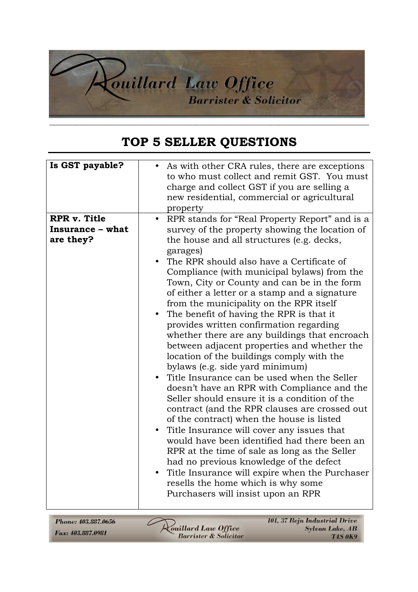

## **TOP 5 SELLER QUESTIONS**

Phone: 403.887.0656 Fax: 403.887.0981

**Anillard Law Office**<br>Barrister & Solicitor